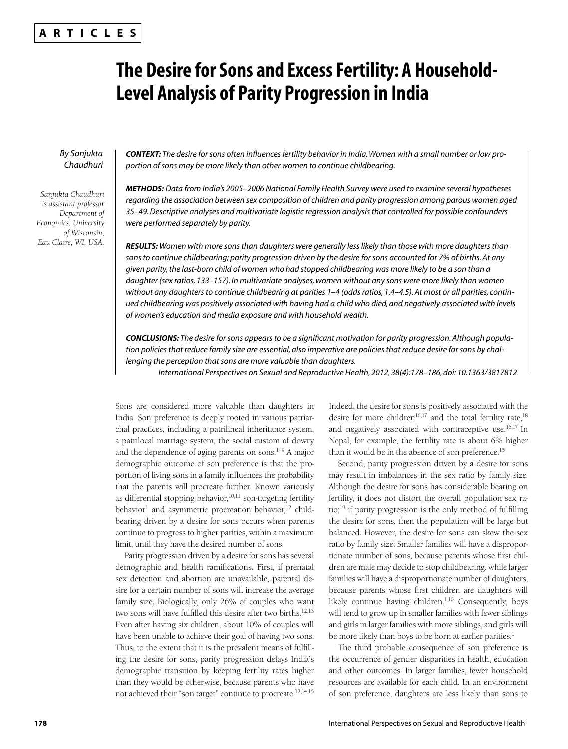## **ARTICLES**

# **The Desire for Sons and Excess Fertility: A Household-Level Analysis of Parity Progression in India**

## *By Sanjukta Chaudhuri*

*Sanjukta Chaudhuri is assistant professor Department of Economics, University of Wisconsin, Eau Claire, WI, USA.*

*CONTEXT: The desire for sons often influences fertility behavior in India. Women with a small number or low proportion of sons may be more likely than other women to continue childbearing.*

*METHODS: Data from India's 2005–2006 National Family Health Survey were used to examine several hypotheses regarding the association between sex composition of children and parity progression among parous women aged 35–49. Descriptive analyses and multivariate logistic regression analysis that controlled for possible confounders were performed separately by parity.*

*RESULTS: Women with more sons than daughters were generally less likely than those with more daughters than sons to continue childbearing; parity progression driven by the desire for sons accounted for 7% of births. At any given parity, the last-born child of women who had stopped childbearing was more likely to be a son than a daughter (sex ratios, 133–157). In multivariate analyses, women without any sons were more likely than women without any daughters to continue childbearing at parities 1–4 (odds ratios, 1.4–4.5). At most or all parities, continued childbearing was positively associated with having had a child who died, and negatively associated with levels of women's education and media exposure and with household wealth.*

*CONCLUSIONS: The desire for sons appears to be a significant motivation for parity progression. Although population policies that reduce family size are essential, also imperative are policies that reduce desire for sons by challenging the perception that sons are more valuable than daughters.*

*International Perspectives on Sexual and Reproductive Health, 2012, 38(4):178–186,doi: 10.1363/3817812*

Sons are considered more valuable than daughters in India. Son preference is deeply rooted in various patriarchal practices, including a patrilineal inheritance system, a patrilocal marriage system, the social custom of dowry and the dependence of aging parents on sons. $1-9$  A major demographic outcome of son preference is that the proportion of living sons in a family influences the probability that the parents will procreate further. Known variously as differential stopping behavior, $10,11$  son-targeting fertility behavior<sup>1</sup> and asymmetric procreation behavior,<sup>12</sup> childbearing driven by a desire for sons occurs when parents continue to progress to higher parities, within a maximum limit, until they have the desired number of sons.

Parity progression driven by a desire for sons has several demographic and health ramifications. First, if prenatal sex detection and abortion are unavailable, parental desire for a certain number of sons will increase the average family size. Biologically, only 26% of couples who want two sons will have fulfilled this desire after two births.<sup>12,13</sup> Even after having six children, about 10% of couples will have been unable to achieve their goal of having two sons. Thus, to the extent that it is the prevalent means of fulfilling the desire for sons, parity progression delays India's demographic transition by keeping fertility rates higher than they would be otherwise, because parents who have not achieved their "son target" continue to procreate.<sup>12,14,15</sup>

Indeed, the desire for sons is positively associated with the desire for more children<sup>16,17</sup> and the total fertility rate,<sup>18</sup> and negatively associated with contraceptive use.<sup>16,17</sup> In Nepal, for example, the fertility rate is about 6% higher than it would be in the absence of son preference.<sup>15</sup>

Second, parity progression driven by a desire for sons may result in imbalances in the sex ratio by family size. Although the desire for sons has considerable bearing on fertility, it does not distort the overall population sex ratio;19 if parity progression is the only method of fulfilling the desire for sons, then the population will be large but balanced. However, the desire for sons can skew the sex ratio by family size: Smaller families will have a disproportionate number of sons, because parents whose first children are male may decide to stop childbearing, while larger families will have a disproportionate number of daughters, because parents whose first children are daughters will likely continue having children.<sup>1,10</sup> Consequently, boys will tend to grow up in smaller families with fewer siblings and girls in larger families with more siblings, and girls will be more likely than boys to be born at earlier parities.<sup>1</sup>

The third probable consequence of son preference is the occurrence of gender disparities in health, education and other outcomes. In larger families, fewer household resources are available for each child. In an environment of son preference, daughters are less likely than sons to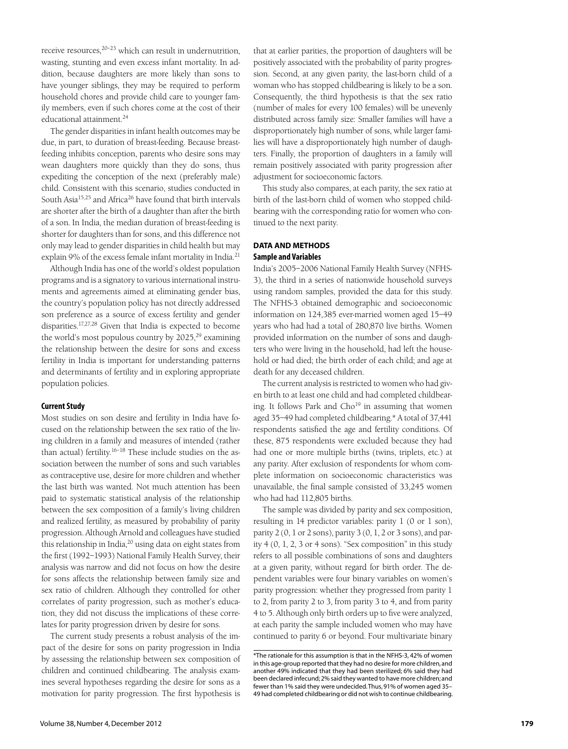receive resources,<sup>20-23</sup> which can result in undernutrition, wasting, stunting and even excess infant mortality. In addition, because daughters are more likely than sons to have younger siblings, they may be required to perform household chores and provide child care to younger family members, even if such chores come at the cost of their educational attainment.<sup>24</sup>

The gender disparities in infant health outcomes may be due, in part, to duration of breast-feeding. Because breastfeeding inhibits conception, parents who desire sons may wean daughters more quickly than they do sons, thus expediting the conception of the next (preferably male) child. Consistent with this scenario, studies conducted in South Asia $15,25$  and Africa<sup>26</sup> have found that birth intervals are shorter after the birth of a daughter than after the birth of a son. In India, the median duration of breast-feeding is shorter for daughters than for sons, and this difference not only may lead to gender disparities in child health but may explain 9% of the excess female infant mortality in India.<sup>21</sup>

Although India has one of the world's oldest population programs and is a signatory to various international instruments and agreements aimed at eliminating gender bias, the country's population policy has not directly addressed son preference as a source of excess fertility and gender disparities.17,27,28 Given that India is expected to become the world's most populous country by  $2025$ ,<sup>29</sup> examining the relationship between the desire for sons and excess fertility in India is important for understanding patterns and determinants of fertility and in exploring appropriate population policies.

#### **Current Study**

Most studies on son desire and fertility in India have focused on the relationship between the sex ratio of the living children in a family and measures of intended (rather than actual) fertility.<sup>16–18</sup> These include studies on the association between the number of sons and such variables as contraceptive use, desire for more children and whether the last birth was wanted. Not much attention has been paid to systematic statistical analysis of the relationship between the sex composition of a family's living children and realized fertility, as measured by probability of parity progression. Although Arnold and colleagues have studied this relationship in India, $20$  using data on eight states from the first (1992–1993) National Family Health Survey, their analysis was narrow and did not focus on how the desire for sons affects the relationship between family size and sex ratio of children. Although they controlled for other correlates of parity progression, such as mother's education, they did not discuss the implications of these correlates for parity progression driven by desire for sons.

The current study presents a robust analysis of the impact of the desire for sons on parity progression in India by assessing the relationship between sex composition of children and continued childbearing. The analysis examines several hypotheses regarding the desire for sons as a motivation for parity progression. The first hypothesis is

that at earlier parities, the proportion of daughters will be positively associated with the probability of parity progression. Second, at any given parity, the last-born child of a woman who has stopped childbearing is likely to be a son. Consequently, the third hypothesis is that the sex ratio (number of males for every 100 females) will be unevenly distributed across family size: Smaller families will have a disproportionately high number of sons, while larger families will have a disproportionately high number of daughters. Finally, the proportion of daughters in a family will remain positively associated with parity progression after adjustment for socioeconomic factors.

This study also compares, at each parity, the sex ratio at birth of the last-born child of women who stopped childbearing with the corresponding ratio for women who continued to the next parity.

## **DATA AND METHODS Sample and Variables**

India's 2005–2006 National Family Health Survey (NFHS-3), the third in a series of nationwide household surveys using random samples, provided the data for this study. The NFHS-3 obtained demographic and socioeconomic information on 124,385 ever-married women aged 15–49 years who had had a total of 280,870 live births. Women provided information on the number of sons and daughters who were living in the household, had left the household or had died; the birth order of each child; and age at death for any deceased children.

The current analysis is restricted to women who had given birth to at least one child and had completed childbearing. It follows Park and Cho<sup>19</sup> in assuming that women aged 35–49 had completed childbearing.\* A total of 37,441 respondents satisfied the age and fertility conditions. Of these, 875 respondents were excluded because they had had one or more multiple births (twins, triplets, etc.) at any parity. After exclusion of respondents for whom complete information on socioeconomic characteristics was unavailable, the final sample consisted of 33,245 women who had had 112,805 births.

The sample was divided by parity and sex composition, resulting in 14 predictor variables: parity 1 (0 or 1 son), parity 2 (0, 1 or 2 sons), parity 3 (0, 1, 2 or 3 sons), and parity 4 (0, 1, 2, 3 or 4 sons). "Sex composition" in this study refers to all possible combinations of sons and daughters at a given parity, without regard for birth order. The dependent variables were four binary variables on women's parity progression: whether they progressed from parity 1 to 2, from parity 2 to 3, from parity 3 to 4, and from parity 4 to 5. Although only birth orders up to five were analyzed, at each parity the sample included women who may have continued to parity 6 or beyond. Four multivariate binary

<sup>\*</sup>The rationale for this assumption is that in the NFHS-3, 42% of women in this age-group reported that they had no desire for more children, and another 49% indicated that they had been sterilized; 6% said they had been declared infecund; 2% said they wanted to have more children; and fewer than 1% said they were undecided. Thus, 91% of women aged 35– 49 had completed childbearing or did not wish to continue childbearing.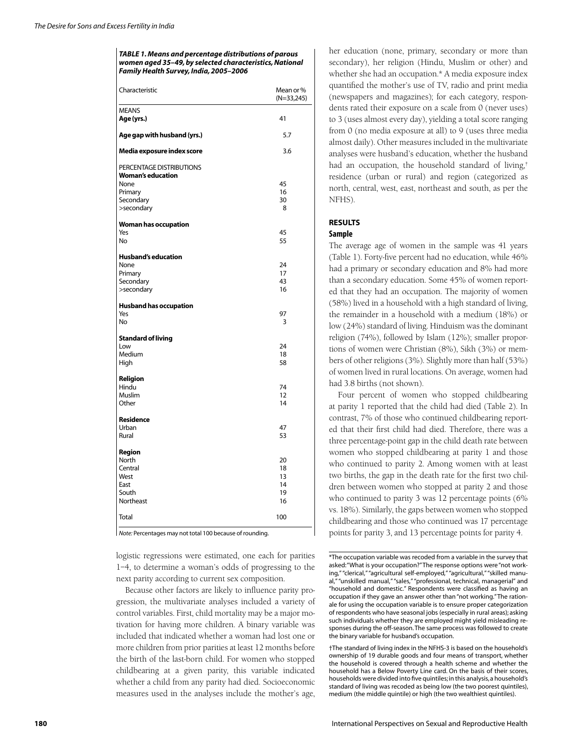*TABLE 1. Means and percentage distributions of parous women aged 35–49, by selected characteristics, National Family Health Survey, India, 2005–2006*

| Characteristic                   | Mean or %<br>$(N=33,245)$ |
|----------------------------------|---------------------------|
| <b>MEANS</b>                     |                           |
| Age (yrs.)                       | 41                        |
| Age gap with husband (yrs.)      | 5.7                       |
| Media exposure index score       | 3.6                       |
| PERCENTAGE DISTRIBUTIONS         |                           |
| <b>Woman's education</b><br>None |                           |
|                                  | 45<br>16                  |
| Primary                          | 30                        |
| Secondary<br>>secondary          | 8                         |
|                                  |                           |
| <b>Woman has occupation</b>      |                           |
| Yes                              | 45                        |
| No                               | 55                        |
| <b>Husband's education</b>       |                           |
| None                             | 24                        |
| Primary                          | 17                        |
| Secondary                        | 43                        |
| >secondary                       | 16                        |
|                                  |                           |
| <b>Husband has occupation</b>    |                           |
| Yes                              | 97                        |
| No                               | 3                         |
| <b>Standard of living</b>        |                           |
| Low                              | 24                        |
| Medium                           | 18                        |
| High                             | 58                        |
|                                  |                           |
| Religion                         |                           |
| Hindu                            | 74                        |
| Muslim                           | 12                        |
| Other                            | 14                        |
|                                  |                           |
| <b>Residence</b><br>Urban        | 47                        |
| Rural                            | 53                        |
|                                  |                           |
| Region                           |                           |
| North                            | 20                        |
| Central                          | 18                        |
| West                             | 13                        |
| East                             | 14                        |
| South                            | 19                        |
| Northeast                        | 16                        |
| <b>Total</b>                     | 100                       |
|                                  |                           |

*Note:* Percentages may not total 100 because of rounding.

logistic regressions were estimated, one each for parities 1–4, to determine a woman's odds of progressing to the next parity according to current sex composition.

Because other factors are likely to influence parity progression, the multivariate analyses included a variety of control variables. First, child mortality may be a major motivation for having more children. A binary variable was included that indicated whether a woman had lost one or more children from prior parities at least 12 months before the birth of the last-born child. For women who stopped childbearing at a given parity, this variable indicated whether a child from any parity had died. Socioeconomic measures used in the analyses include the mother's age, her education (none, primary, secondary or more than secondary), her religion (Hindu, Muslim or other) and whether she had an occupation.\* A media exposure index quantified the mother's use of TV, radio and print media (newspapers and magazines); for each category, respondents rated their exposure on a scale from 0 (never uses) to 3 (uses almost every day), yielding a total score ranging from 0 (no media exposure at all) to 9 (uses three media almost daily). Other measures included in the multivariate analyses were husband's education, whether the husband had an occupation, the household standard of living,† residence (urban or rural) and region (categorized as north, central, west, east, northeast and south, as per the NFHS).

## **RESULTS**

## **Sample**

The average age of women in the sample was 41 years (Table 1). Forty-five percent had no education, while 46% had a primary or secondary education and 8% had more than a secondary education. Some 45% of women reported that they had an occupation. The majority of women (58%) lived in a household with a high standard of living, the remainder in a household with a medium (18%) or low (24%) standard of living. Hinduism was the dominant religion (74%), followed by Islam (12%); smaller proportions of women were Christian (8%), Sikh (3%) or members of other religions (3%). Slightly more than half (53%) of women lived in rural locations. On average, women had had 3.8 births (not shown).

Four percent of women who stopped childbearing at parity 1 reported that the child had died (Table 2). In contrast, 7% of those who continued childbearing reported that their first child had died. Therefore, there was a three percentage-point gap in the child death rate between women who stopped childbearing at parity 1 and those who continued to parity 2. Among women with at least two births, the gap in the death rate for the first two children between women who stopped at parity 2 and those who continued to parity 3 was 12 percentage points (6% vs. 18%). Similarly, the gaps between women who stopped childbearing and those who continued was 17 percentage points for parity 3, and 13 percentage points for parity 4.

\*The occupation variable was recoded from a variable in the survey that asked: "What is your occupation?" The response options were "not working," "clerical," "agricultural self-employed," "agricultural," "skilled manual," "unskilled manual," "sales," "professional, technical, managerial" and "household and domestic." Respondents were classified as having an occupation if they gave an answer other than "not working." The rationale for using the occupation variable is to ensure proper categorization of respondents who have seasonal jobs (especially in rural areas); asking such individuals whether they are employed might yield misleading responses during the off-season. The same process was followed to create the binary variable for husband's occupation.

†The standard of living index in the NFHS-3 is based on the household's ownership of 19 durable goods and four means of transport, whether the household is covered through a health scheme and whether the household has a Below Poverty Line card. On the basis of their scores, households were divided into five quintiles; in this analysis, a household's standard of living was recoded as being low (the two poorest quintiles), medium (the middle quintile) or high (the two wealthiest quintiles).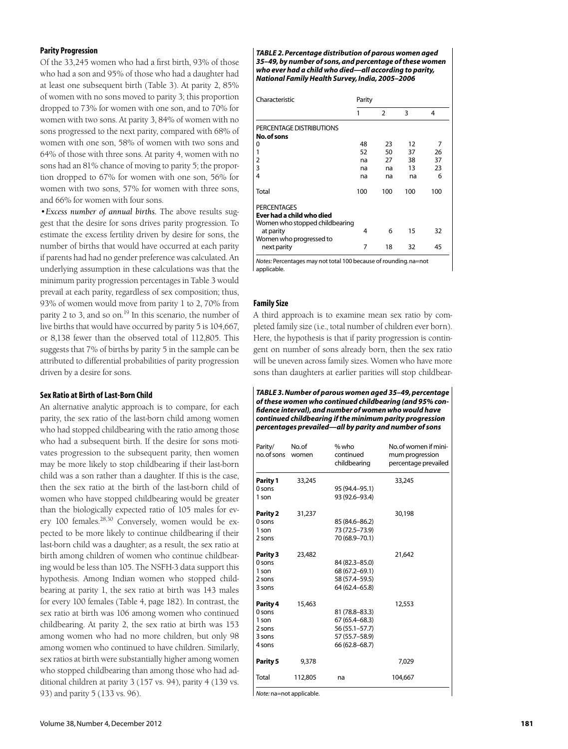### **Parity Progression**

Of the 33,245 women who had a first birth, 93% of those who had a son and 95% of those who had a daughter had at least one subsequent birth (Table 3). At parity 2, 85% of women with no sons moved to parity 3; this proportion dropped to 73% for women with one son, and to 70% for women with two sons. At parity 3, 84% of women with no sons progressed to the next parity, compared with 68% of women with one son, 58% of women with two sons and 64% of those with three sons. At parity 4, women with no sons had an 81% chance of moving to parity 5; the proportion dropped to 67% for women with one son, 56% for women with two sons, 57% for women with three sons, and 66% for women with four sons.

*•Excess number of annual births.* The above results suggest that the desire for sons drives parity progression. To estimate the excess fertility driven by desire for sons, the number of births that would have occurred at each parity if parents had had no gender preference was calculated. An underlying assumption in these calculations was that the minimum parity progression percentages in Table 3 would prevail at each parity, regardless of sex composition; thus, 93% of women would move from parity 1 to 2, 70% from parity 2 to 3, and so on. $^{19}$  In this scenario, the number of live births that would have occurred by parity 5 is 104,667, or 8,138 fewer than the observed total of 112,805. This suggests that 7% of births by parity 5 in the sample can be attributed to differential probabilities of parity progression driven by a desire for sons.

## **Sex Ratio at Birth of Last-Born Child**

An alternative analytic approach is to compare, for each parity, the sex ratio of the last-born child among women who had stopped childbearing with the ratio among those who had a subsequent birth. If the desire for sons motivates progression to the subsequent parity, then women may be more likely to stop childbearing if their last-born child was a son rather than a daughter. If this is the case, then the sex ratio at the birth of the last-born child of women who have stopped childbearing would be greater than the biologically expected ratio of 105 males for every 100 females.28,30 Conversely, women would be expected to be more likely to continue childbearing if their last-born child was a daughter; as a result, the sex ratio at birth among children of women who continue childbearing would be less than 105. The NSFH-3 data support this hypothesis. Among Indian women who stopped childbearing at parity 1, the sex ratio at birth was 143 males for every 100 females (Table 4, page 182). In contrast, the sex ratio at birth was 106 among women who continued childbearing. At parity 2, the sex ratio at birth was 153 among women who had no more children, but only 98 among women who continued to have children. Similarly, sex ratios at birth were substantially higher among women who stopped childbearing than among those who had additional children at parity 3 (157 vs. 94), parity 4 (139 vs. 93) and parity 5 (133 vs. 96).

*TABLE 2. Percentage distribution of parous women aged 35–49, by number of sons, and percentage of these women who ever had a child who died—all according to parity, National Family Health Survey, India, 2005–2006*

| Characteristic                 | Parity |     |     |     |
|--------------------------------|--------|-----|-----|-----|
|                                | 1      | 2   | 3   | 4   |
| PERCENTAGE DISTRIBUTIONS       |        |     |     |     |
| No. of sons                    |        |     |     |     |
| 0                              | 48     | 23  | 12  | 7   |
| 1                              | 52     | 50  | 37  | 26  |
| 2                              | na     | 27  | 38  | 37  |
| 3                              | na     | na  | 13  | 23  |
| 4                              | na     | na  | na  | 6   |
| Total                          | 100    | 100 | 100 | 100 |
| <b>PERCENTAGES</b>             |        |     |     |     |
| Ever had a child who died      |        |     |     |     |
| Women who stopped childbearing |        |     |     |     |
| at parity                      | 4      | 6   | 15  | 32  |
| Women who progressed to        |        |     |     |     |
| next parity                    | 7      | 18  | 32  | 45  |

*Notes:* Percentages may not total 100 because of rounding. na=not applicable.

#### **Family Size**

A third approach is to examine mean sex ratio by completed family size (i.e., total number of children ever born). Here, the hypothesis is that if parity progression is contingent on number of sons already born, then the sex ratio will be uneven across family sizes. Women who have more sons than daughters at earlier parities will stop childbear-

*TABLE 3. Number of parous women aged 35–49, percentage of these women who continued childbearing (and 95% confidence interval), and number of women who would have continued childbearing if the minimum parity progression percentages prevailed—all by parity and number of sons* 

| Parity/<br>no.of sons | No.of<br>women | % who<br>continued<br>childbearing | No. of women if mini-<br>mum progression<br>percentage prevailed |
|-----------------------|----------------|------------------------------------|------------------------------------------------------------------|
| Parity 1              | 33,245         |                                    | 33,245                                                           |
| $0$ sons              |                | 95 (94.4-95.1)                     |                                                                  |
| 1 son                 |                | 93 (92.6-93.4)                     |                                                                  |
| Parity 2              | 31,237         |                                    | 30,198                                                           |
| $0$ sons              |                | 85 (84.6-86.2)                     |                                                                  |
| 1 son                 |                | 73 (72.5-73.9)                     |                                                                  |
| 2 sons                |                | 70 (68.9-70.1)                     |                                                                  |
| Parity 3              | 23,482         |                                    | 21,642                                                           |
| $0$ sons              |                | 84 (82.3–85.0)                     |                                                                  |
| 1 son                 |                | 68 (67.2-69.1)                     |                                                                  |
| 2 sons                |                | 58 (57.4-59.5)                     |                                                                  |
| 3 sons                |                | 64 (62.4-65.8)                     |                                                                  |
| Parity 4              | 15,463         |                                    | 12,553                                                           |
| $0$ sons              |                | 81 (78.8-83.3)                     |                                                                  |
| 1 son                 |                | 67 (65.4–68.3)                     |                                                                  |
| 2 sons                |                | 56 (55.1-57.7)                     |                                                                  |
| 3 sons                |                | 57 (55.7-58.9)                     |                                                                  |
| 4 sons                |                | 66 (62.8-68.7)                     |                                                                  |
| Parity 5              | 9,378          |                                    | 7,029                                                            |
| Total                 | 112,805        | na                                 | 104,667                                                          |
|                       |                |                                    |                                                                  |

*Note:* na=not applicable.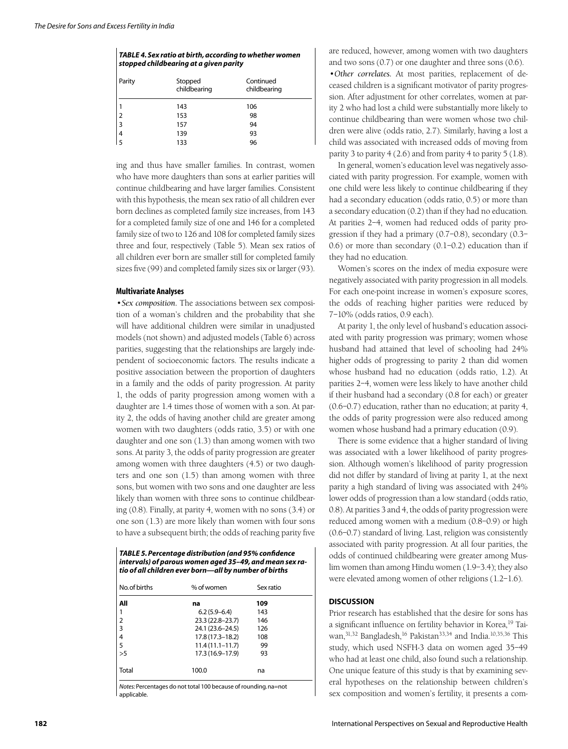*TABLE 4. Sex ratio at birth, according to whether women stopped childbearing at a given parity*

| Stopped<br>childbearing | Continued<br>childbearing |
|-------------------------|---------------------------|
| 143                     | 106                       |
| 153                     | 98                        |
| 157                     | 94                        |
| 139                     | 93                        |
| 133                     | 96                        |
|                         |                           |

ing and thus have smaller families. In contrast, women who have more daughters than sons at earlier parities will continue childbearing and have larger families. Consistent with this hypothesis, the mean sex ratio of all children ever born declines as completed family size increases, from 143 for a completed family size of one and 146 for a completed family size of two to 126 and 108 for completed family sizes three and four, respectively (Table 5). Mean sex ratios of all children ever born are smaller still for completed family sizes five (99) and completed family sizes six or larger (93).

#### **Multivariate Analyses**

*•Sex composition.* The associations between sex composition of a woman's children and the probability that she will have additional children were similar in unadjusted models (not shown) and adjusted models (Table 6) across parities, suggesting that the relationships are largely independent of socioeconomic factors. The results indicate a positive association between the proportion of daughters in a family and the odds of parity progression. At parity 1, the odds of parity progression among women with a daughter are 1.4 times those of women with a son. At parity 2, the odds of having another child are greater among women with two daughters (odds ratio, 3.5) or with one daughter and one son (1.3) than among women with two sons. At parity 3, the odds of parity progression are greater among women with three daughters (4.5) or two daughters and one son (1.5) than among women with three sons, but women with two sons and one daughter are less likely than women with three sons to continue childbearing (0.8). Finally, at parity 4, women with no sons (3.4) or one son (1.3) are more likely than women with four sons to have a subsequent birth; the odds of reaching parity five

| TABLE 5. Percentage distribution (and 95% confidence    |
|---------------------------------------------------------|
| intervals) of parous women aged 35–49, and mean sex ra- |
| tio of all children ever born—all by number of births   |

| No. of births                                   | % of women          | Sex ratio |  |
|-------------------------------------------------|---------------------|-----------|--|
| All                                             | na                  | 109       |  |
|                                                 | $6.2(5.9 - 6.4)$    | 143       |  |
|                                                 | 23.3 (22.8-23.7)    | 146       |  |
|                                                 | 24.1 (23.6-24.5)    | 126       |  |
| $\begin{array}{c} 2 \\ 3 \\ 4 \\ 5 \end{array}$ | 17.8 (17.3-18.2)    | 108       |  |
|                                                 | $11.4(11.1 - 11.7)$ | 99        |  |
| >5                                              | 17.3 (16.9-17.9)    | 93        |  |
| Total                                           | 100.0               | na        |  |
|                                                 | .<br>$\epsilon$     |           |  |

*Notes:* Percentages do not total 100 because of rounding. na=not applicable.

are reduced, however, among women with two daughters and two sons (0.7) or one daughter and three sons (0.6). *•Other correlates.* At most parities, replacement of deceased children is a significant motivator of parity progression. After adjustment for other correlates, women at parity 2 who had lost a child were substantially more likely to continue childbearing than were women whose two children were alive (odds ratio, 2.7). Similarly, having a lost a child was associated with increased odds of moving from parity 3 to parity  $4(2.6)$  and from parity  $4$  to parity  $5(1.8)$ .

In general, women's education level was negatively associated with parity progression. For example, women with one child were less likely to continue childbearing if they had a secondary education (odds ratio, 0.5) or more than a secondary education (0.2) than if they had no education. At parities 2–4, women had reduced odds of parity progression if they had a primary (0.7–0.8), secondary (0.3– 0.6) or more than secondary (0.1–0.2) education than if they had no education.

Women's scores on the index of media exposure were negatively associated with parity progression in all models. For each one-point increase in women's exposure scores, the odds of reaching higher parities were reduced by 7–10% (odds ratios, 0.9 each).

At parity 1, the only level of husband's education associated with parity progression was primary; women whose husband had attained that level of schooling had 24% higher odds of progressing to parity 2 than did women whose husband had no education (odds ratio, 1.2). At parities 2–4, women were less likely to have another child if their husband had a secondary (0.8 for each) or greater (0.6–0.7) education, rather than no education; at parity 4, the odds of parity progression were also reduced among women whose husband had a primary education (0.9).

There is some evidence that a higher standard of living was associated with a lower likelihood of parity progression. Although women's likelihood of parity progression did not differ by standard of living at parity 1, at the next parity a high standard of living was associated with 24% lower odds of progression than a low standard (odds ratio, 0.8). At parities 3 and 4, the odds of parity progression were reduced among women with a medium (0.8–0.9) or high (0.6–0.7) standard of living. Last, religion was consistently associated with parity progression. At all four parities, the odds of continued childbearing were greater among Muslim women than among Hindu women (1.9–3.4); they also were elevated among women of other religions (1.2–1.6).

#### **DISCUSSION**

Prior research has established that the desire for sons has a significant influence on fertility behavior in Korea,<sup>19</sup> Taiwan,<sup>31,32</sup> Bangladesh,<sup>16</sup> Pakistan<sup>33,34</sup> and India.<sup>10,35,36</sup> This study, which used NSFH-3 data on women aged 35–49 who had at least one child, also found such a relationship. One unique feature of this study is that by examining several hypotheses on the relationship between children's sex composition and women's fertility, it presents a com-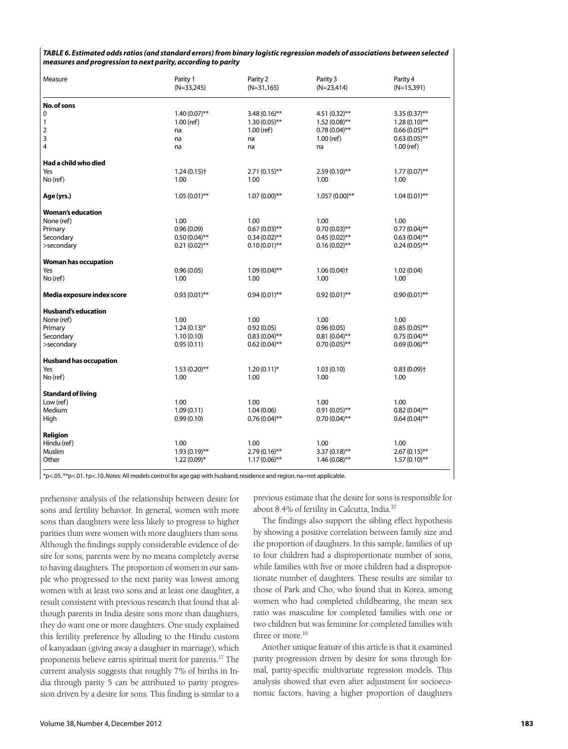| measures and progression to next parity, according to parity |                           |                          |                           |                           |
|--------------------------------------------------------------|---------------------------|--------------------------|---------------------------|---------------------------|
| Measure                                                      | Parity 1<br>$(N=33,245)$  | Parity 2<br>$(N=31,165)$ | Parity 3<br>$(N=23,414)$  | Parity 4<br>$(N=15,391)$  |
| No. of sons                                                  |                           |                          |                           |                           |
| 0                                                            | $1.40(0.07)$ **           | $3.48(0.16)$ **          | $4.51(0.32)$ **           | $3.35(0.37)$ **           |
| 1                                                            | $1.00$ (ref)              | $1.30(0.05)$ **          | $1.52(0.08)$ **           | $1.28(0.10)$ **           |
| $\overline{2}$                                               | na                        | $1.00$ (ref)             | $0.78(0.04)$ **           | $0.66(0.05)$ **           |
| 3                                                            | na                        | na                       | $1.00$ (ref)              | $0.63(0.05)$ **           |
| 4                                                            | na                        | na                       | na                        | $1.00$ (ref)              |
| Had a child who died                                         |                           |                          |                           |                           |
| Yes                                                          | $1.24(0.15)$ <sup>+</sup> | $2.71(0.15)$ **          | $2.59(0.10)$ **           | $1.77(0.07)$ **           |
| No (ref)                                                     | 1.00                      | 1.00                     | 1.00                      | 1.00                      |
| Age (yrs.)                                                   | $1.05(0.01)$ **           | $1.07(0.00)$ **          | $1.057(0.00)$ **          | $1.04(0.01)$ **           |
| <b>Woman's education</b>                                     |                           |                          |                           |                           |
| None (ref)                                                   | 1.00                      | 1.00                     | 1.00                      | 1.00                      |
| Primary                                                      | 0.96(0.09)                | $0.67(0.03)$ **          | $0.70(0.03)$ **           | $0.77(0.04)$ **           |
| Secondary                                                    | $0.50(0.04)$ **           | $0.34(0.02)$ **          | $0.45(0.02)$ **           | $0.63(0.04)$ **           |
| >secondary                                                   | $0.21(0.02)$ **           | $0.10(0.01)$ **          | $0.16(0.02)$ **           | $0.24(0.05)$ **           |
| <b>Woman has occupation</b>                                  |                           |                          |                           |                           |
| Yes                                                          | 0.96(0.05)                | $1.09(0.04)$ **          | $1.06(0.04)$ <sup>+</sup> | 1.02(0.04)                |
| No (ref)                                                     | 1.00                      | 1.00                     | 1.00                      | 1.00                      |
| Media exposure index score                                   | $0.93(0.01)$ **           | $0.94(0.01)$ **          | $0.92(0.01)$ **           | $0.90(0.01)$ **           |
| <b>Husband's education</b>                                   |                           |                          |                           |                           |
| None (ref)                                                   | 1.00                      | 1.00                     | 1.00                      | 1.00                      |
| Primary                                                      | $1.24(0.13)$ *            | 0.92(0.05)               | 0.96(0.05)                | $0.85(0.05)$ **           |
| Secondary                                                    | 1.10(0.10)                | $0.83(0.04)$ **          | $0.81(0.04)$ **           | $0.75(0.04)$ **           |
| >secondary                                                   | 0.95(0.11)                | $0.62(0.04)$ **          | $0.70(0.05)$ **           | $0.69(0.06)$ **           |
| <b>Husband has occupation</b>                                |                           |                          |                           |                           |
| Yes                                                          | $1.53(0.20)$ **           | $1.20(0.11)*$            | 1.03(0.10)                | $0.83(0.09)$ <sup>+</sup> |
| No (ref)                                                     | 1.00                      | 1.00                     | 1.00                      | 1.00                      |
| <b>Standard of living</b>                                    |                           |                          |                           |                           |
| Low (ref)                                                    | 1.00                      | 1.00                     | 1.00                      | 1.00                      |
| Medium                                                       | 1.09(0.11)                | 1.04(0.06)               | $0.91(0.05)$ **           | $0.82(0.04)$ **           |
| High                                                         | 0.99(0.10)                | $0.76(0.04)$ **          | $0.70(0.04)$ **           | $0.64(0.04)$ **           |
| Religion                                                     |                           |                          |                           |                           |
| Hindu (ref)                                                  | 1.00                      | 1.00                     | 1.00                      | 1.00                      |
| Muslim                                                       | $1.93(0.19)$ **           | $2.79(0.16)$ **          | $3.37(0.18)$ **           | $2.67(0.15)$ **           |
| Other                                                        | $1.22(0.09)*$             | $1.17(0.06)$ **          | $1.46(0.08)$ **           | $1.57(0.10)$ **           |

*TABLE 6. Estimated odds ratios (and standard errors) from binary logistic regression models of associations between selected* 

\*p<.05. \*\*p<.01. †p<.10. *Notes:* All models control for age gap with husband, residence and region. na=not applicable.

prehensive analysis of the relationship between desire for sons and fertility behavior. In general, women with more sons than daughters were less likely to progress to higher parities than were women with more daughters than sons. Although the findings supply considerable evidence of desire for sons, parents were by no means completely averse to having daughters. The proportion of women in our sample who progressed to the next parity was lowest among women with at least two sons and at least one daughter, a result consistent with previous research that found that although parents in India desire sons more than daughters, they do want one or more daughters. One study explained this fertility preference by alluding to the Hindu custom of kanyadaan (giving away a daughter in marriage), which proponents believe earns spiritual merit for parents.17 The current analysis suggests that roughly 7% of births in India through parity 5 can be attributed to parity progression driven by a desire for sons. This finding is similar to a previous estimate that the desire for sons is responsible for about 8.4% of fertility in Calcutta, India.37

The findings also support the sibling effect hypothesis by showing a positive correlation between family size and the proportion of daughters. In this sample, families of up to four children had a disproportionate number of sons, while families with five or more children had a disproportionate number of daughters. These results are similar to those of Park and Cho, who found that in Korea, among women who had completed childbearing, the mean sex ratio was masculine for completed families with one or two children but was feminine for completed families with three or more.<sup>19</sup>

Another unique feature of this article is that it examined parity progression driven by desire for sons through formal, parity-specific multivariate regression models. This analysis showed that even after adjustment for socioeconomic factors, having a higher proportion of daughters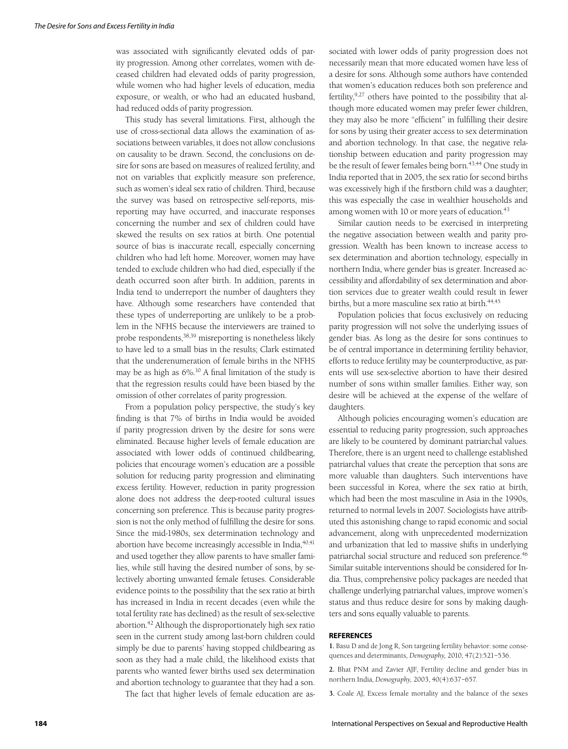was associated with significantly elevated odds of parity progression. Among other correlates, women with deceased children had elevated odds of parity progression, while women who had higher levels of education, media exposure, or wealth, or who had an educated husband, had reduced odds of parity progression.

This study has several limitations. First, although the use of cross-sectional data allows the examination of associations between variables, it does not allow conclusions on causality to be drawn. Second, the conclusions on desire for sons are based on measures of realized fertility, and not on variables that explicitly measure son preference, such as women's ideal sex ratio of children. Third, because the survey was based on retrospective self-reports, misreporting may have occurred, and inaccurate responses concerning the number and sex of children could have skewed the results on sex ratios at birth. One potential source of bias is inaccurate recall, especially concerning children who had left home. Moreover, women may have tended to exclude children who had died, especially if the death occurred soon after birth. In addition, parents in India tend to underreport the number of daughters they have. Although some researchers have contended that these types of underreporting are unlikely to be a problem in the NFHS because the interviewers are trained to probe respondents,38,39 misreporting is nonetheless likely to have led to a small bias in the results; Clark estimated that the underenumeration of female births in the NFHS may be as high as  $6\%$ .<sup>10</sup> A final limitation of the study is that the regression results could have been biased by the omission of other correlates of parity progression.

From a population policy perspective, the study's key finding is that 7% of births in India would be avoided if parity progression driven by the desire for sons were eliminated. Because higher levels of female education are associated with lower odds of continued childbearing, policies that encourage women's education are a possible solution for reducing parity progression and eliminating excess fertility. However, reduction in parity progression alone does not address the deep-rooted cultural issues concerning son preference. This is because parity progression is not the only method of fulfilling the desire for sons. Since the mid-1980s, sex determination technology and abortion have become increasingly accessible in India, 40,41 and used together they allow parents to have smaller families, while still having the desired number of sons, by selectively aborting unwanted female fetuses. Considerable evidence points to the possibility that the sex ratio at birth has increased in India in recent decades (even while the total fertility rate has declined) as the result of sex-selective abortion.42 Although the disproportionately high sex ratio seen in the current study among last-born children could simply be due to parents' having stopped childbearing as soon as they had a male child, the likelihood exists that parents who wanted fewer births used sex determination and abortion technology to guarantee that they had a son.

The fact that higher levels of female education are as-

sociated with lower odds of parity progression does not necessarily mean that more educated women have less of a desire for sons. Although some authors have contended that women's education reduces both son preference and fertility, $9,27$  others have pointed to the possibility that although more educated women may prefer fewer children, they may also be more "efficient" in fulfilling their desire for sons by using their greater access to sex determination and abortion technology. In that case, the negative relationship between education and parity progression may be the result of fewer females being born.<sup>43,44</sup> One study in India reported that in 2005, the sex ratio for second births was excessively high if the firstborn child was a daughter; this was especially the case in wealthier households and among women with 10 or more years of education.<sup>43</sup>

Similar caution needs to be exercised in interpreting the negative association between wealth and parity progression. Wealth has been known to increase access to sex determination and abortion technology, especially in northern India, where gender bias is greater. Increased accessibility and affordability of sex determination and abortion services due to greater wealth could result in fewer births, but a more masculine sex ratio at birth.<sup>44,45</sup>

Population policies that focus exclusively on reducing parity progression will not solve the underlying issues of gender bias. As long as the desire for sons continues to be of central importance in determining fertility behavior, efforts to reduce fertility may be counterproductive, as parents will use sex-selective abortion to have their desired number of sons within smaller families. Either way, son desire will be achieved at the expense of the welfare of daughters.

Although policies encouraging women's education are essential to reducing parity progression, such approaches are likely to be countered by dominant patriarchal values. Therefore, there is an urgent need to challenge established patriarchal values that create the perception that sons are more valuable than daughters. Such interventions have been successful in Korea, where the sex ratio at birth, which had been the most masculine in Asia in the 1990s, returned to normal levels in 2007. Sociologists have attributed this astonishing change to rapid economic and social advancement, along with unprecedented modernization and urbanization that led to massive shifts in underlying patriarchal social structure and reduced son preference.<sup>46</sup> Similar suitable interventions should be considered for India. Thus, comprehensive policy packages are needed that challenge underlying patriarchal values, improve women's status and thus reduce desire for sons by making daughters and sons equally valuable to parents.

#### **REFERENCES**

**1.** Basu D and de Jong R, Son targeting fertility behavior: some consequences and determinants, *Demography,* 2010, 47(2):521–536.

**2.** Bhat PNM and Zavier AJF, Fertility decline and gender bias in northern India, *Demography,* 2003, 40(4):637–657.

**3.** Coale AJ, Excess female mortality and the balance of the sexes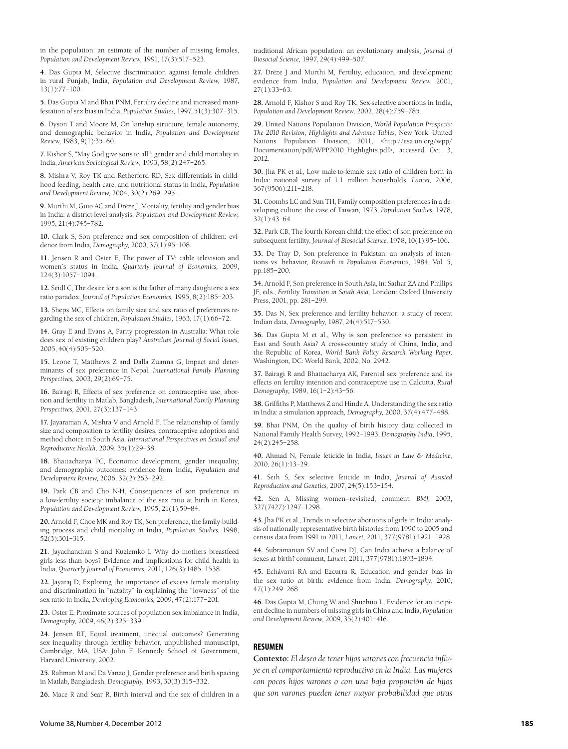in the population: an estimate of the number of missing females, *Population and Development Review,* 1991, 17(3):517–523.

**4.** Das Gupta M, Selective discrimination against female children in rural Punjab, India, *Population and Development Review,* 1987, 13(1):77–100.

**5.** Das Gupta M and Bhat PNM, Fertility decline and increased manifestation of sex bias in India, *Population Studies,* 1997, 51(3):307–315.

**6.** Dyson T and Moore M, On kinship structure, female autonomy, and demographic behavior in India, *Population and Development Review,* 1983, 9(1):35–60.

**7.** Kishor S, "May God give sons to all": gender and child mortality in India, *American Sociological Review,* 1993, 58(2):247–265.

**8.** Mishra V, Roy TK and Retherford RD, Sex differentials in childhood feeding, health care, and nutritional status in India, *Population and Development Review,* 2004, 30(2):269–295.

**9.** Murthi M, Guio AC and Drèze J, Mortality, fertility and gender bias in India: a district-level analysis, *Population and Development Review,* 1995, 21(4):745–782.

**10.** Clark S, Son preference and sex composition of children: evidence from India, *Demography,* 2000, 37(1):95–108.

**11.** Jensen R and Oster E, The power of TV: cable television and women's status in India, *Quarterly Journal of Economics,* 2009, 124(3):1057–1094.

**12.** Seidl C, The desire for a son is the father of many daughters: a sex ratio paradox, *Journal of Population Economics,* 1995, 8(2):185–203.

**13.** Sheps MC, Effects on family size and sex ratio of preferences regarding the sex of children, *Population Studies,* 1963, 17(1):66–72.

**14.** Gray E and Evans A, Parity progression in Australia: What role does sex of existing children play? *Australian Journal of Social Issues,* 2005, 40(4):505–520.

**15.** Leone T, Matthews Z and Dalla Zuanna G, Impact and determinants of sex preference in Nepal, *International Family Planning Perspectives,* 2003, 29(2):69–75.

**16.** Bairagi R, Effects of sex preference on contraceptive use, abortion and fertility in Matlab, Bangladesh, *International Family Planning Perspectives,* 2001, 27(3):137–143.

**17.** Jayaraman A, Mishra V and Arnold F, The relationship of family size and composition to fertility desires, contraceptive adoption and method choice in South Asia, *International Perspectives on Sexual and Reproductive Health,* 2009, 35(1):29–38.

**18.** Bhattacharya PC, Economic development, gender inequality, and demographic outcomes: evidence from India, *Population and Development Review,* 2006, 32(2):263–292.

**19.** Park CB and Cho N-H, Consequences of son preference in a low-fertility society: imbalance of the sex ratio at birth in Korea, *Population and Development Review,* 1995, 21(1):59–84.

**20.** Arnold F, Choe MK and Roy TK, Son preference, the family-building process and child mortality in India, *Population Studies,* 1998, 52(3):301–315.

**21.** Jayachandran S and Kuziemko I, Why do mothers breastfeed girls less than boys? Evidence and implications for child health in India, *Quarterly Journal of Economics,* 2011, 126(3):1485–1538.

**22.** Jayaraj D, Exploring the importance of excess female mortality and discrimination in "natality" in explaining the "lowness" of the sex ratio in India, *Developing Economies,* 2009, 47(2):177–201.

**23.** Oster E, Proximate sources of population sex imbalance in India, *Demography,* 2009, 46(2):325–339.

**24.** Jensen RT, Equal treatment, unequal outcomes? Generating sex inequality through fertility behavior, unpublished manuscript, Cambridge, MA, USA: John F. Kennedy School of Government, Harvard University, 2002.

**25.** Rahman M and Da Vanzo J, Gender preference and birth spacing in Matlab, Bangladesh, *Demography,* 1993, 30(3):315–332.

**26.** Mace R and Sear R, Birth interval and the sex of children in a

traditional African population: an evolutionary analysis, *Journal of Biosocial Science,* 1997, 29(4):499–507.

**27.** Drèze J and Murthi M, Fertility, education, and development: evidence from India, *Population and Development Review,* 2001, 27(1):33–63.

**28.** Arnold F, Kishor S and Roy TK, Sex-selective abortions in India, *Population and Development Review,* 2002, 28(4):759–785.

**29.** United Nations Population Division, *World Population Prospects: The 2010 Revision, Highlights and Advance Tables,* New York: United Nations Population Division, 2011, <http://esa.un.org/wpp/ Documentation/pdf/WPP2010\_Highlights.pdf>, accessed Oct. 3, 2012.

**30.** Jha PK et al., Low male-to-female sex ratio of children born in India: national survey of 1.1 million households, *Lancet,* 2006, 367(9506):211–218.

**31.** Coombs LC and Sun TH, Family composition preferences in a developing culture: the case of Taiwan, 1973, *Population Studies,* 1978, 32(1):43–64.

**32.** Park CB, The fourth Korean child: the effect of son preference on subsequent fertility, *Journal of Biosocial Science,* 1978, 10(1):95–106.

**33.** De Tray D, Son preference in Pakistan: an analysis of intentions vs. behavior, *Research in Population Economics,* 1984, Vol. 5, pp.185–200.

**34.** Arnold F, Son preference in South Asia, in: Sathar ZA and Phillips JF, eds., *Fertility Transition in South Asia,* London: Oxford University Press, 2001, pp. 281–299.

**35.** Das N, Sex preference and fertility behavior: a study of recent Indian data, *Demography,* 1987, 24(4):517–530.

**36.** Das Gupta M et al., Why is son preference so persistent in East and South Asia? A cross-country study of China, India, and the Republic of Korea, *World Bank Policy Research Working Paper,* Washington, DC: World Bank, 2002, No. 2942.

**37.** Bairagi R and Bhattacharya AK, Parental sex preference and its effects on fertility intention and contraceptive use in Calcutta, *Rural Demography,* 1989, 16(1–2):43–56.

**38.** Griffiths P, Matthews Z and Hinde A, Understanding the sex ratio in India: a simulation approach, *Demography,* 2000, 37(4):477–488.

**39.** Bhat PNM, On the quality of birth history data collected in National Family Health Survey, 1992–1993, *Demography India,* 1995, 24(2):245–258.

**40.** Ahmad N, Female feticide in India, *Issues in Law & Medicine,* 2010, 26(1):13–29.

**41.** Seth S, Sex selective feticide in India, *Journal of Assisted Reproduction and Genetics,* 2007, 24(5):153–154.

**42.** Sen A, Missing women—revisited, comment, *BMJ,* 2003, 327(7427):1297–1298.

**43.** Jha PK et al., Trends in selective abortions of girls in India: analysis of nationally representative birth histories from 1990 to 2005 and census data from 1991 to 2011, *Lancet,* 2011, 377(9781):1921–1928.

**44.** Subramanian SV and Corsi DJ, Can India achieve a balance of sexes at birth? comment, *Lancet,* 2011, 377(9781):1893–1894.

**45.** Echávarri RA and Ezcurra R, Education and gender bias in the sex ratio at birth: evidence from India, *Demography,* 2010, 47(1):249–268.

**46.** Das Gupta M, Chung W and Shuzhuo L, Evidence for an incipient decline in numbers of missing girls in China and India, *Population and Development Review,* 2009, 35(2):401–416.

#### **RESUMEN**

**Contexto:** *El deseo de tener hijos varones con frecuencia influye en el comportamiento reproductivo en la India. Las mujeres con pocos hijos varones o con una baja proporción de hijos que son varones pueden tener mayor probabilidad que otras*